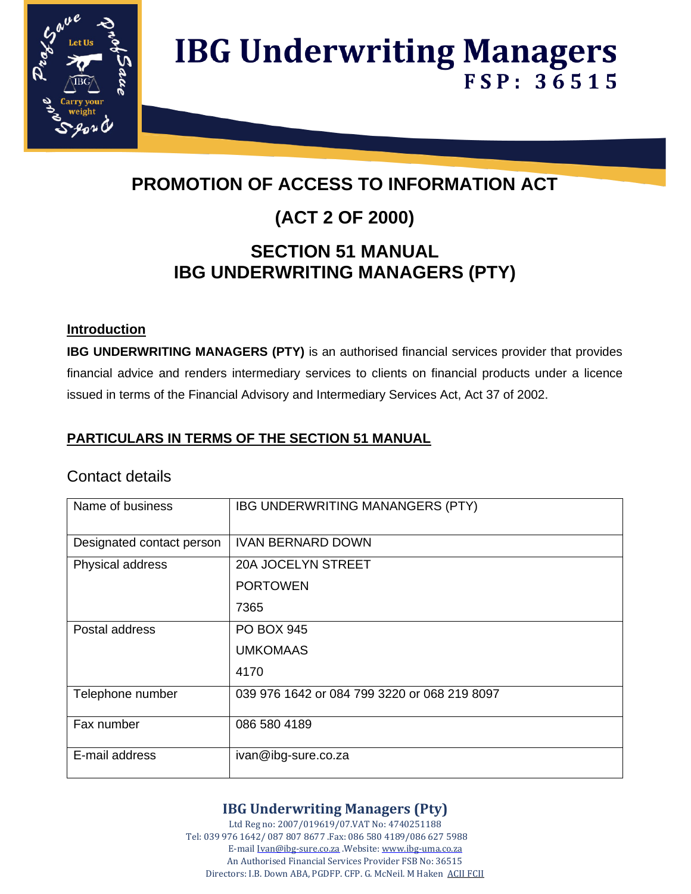

## **PROMOTION OF ACCESS TO INFORMATION ACT**

### **(ACT 2 OF 2000)**

### **SECTION 51 MANUAL IBG UNDERWRITING MANAGERS (PTY)**

### **Introduction**

**IBG UNDERWRITING MANAGERS (PTY)** is an authorised financial services provider that provides financial advice and renders intermediary services to clients on financial products under a licence issued in terms of the Financial Advisory and Intermediary Services Act, Act 37 of 2002.

### **PARTICULARS IN TERMS OF THE SECTION 51 MANUAL**

### Contact details

| Name of business          | IBG UNDERWRITING MANANGERS (PTY)             |
|---------------------------|----------------------------------------------|
| Designated contact person | <b>IVAN BERNARD DOWN</b>                     |
| Physical address          | 20A JOCELYN STREET                           |
|                           | <b>PORTOWEN</b>                              |
|                           | 7365                                         |
| Postal address            | <b>PO BOX 945</b>                            |
|                           | <b>UMKOMAAS</b>                              |
|                           | 4170                                         |
| Telephone number          | 039 976 1642 or 084 799 3220 or 068 219 8097 |
| Fax number                | 086 580 4189                                 |
| E-mail address            | ivan@ibg-sure.co.za                          |

### **IBG Underwriting Managers (Pty)**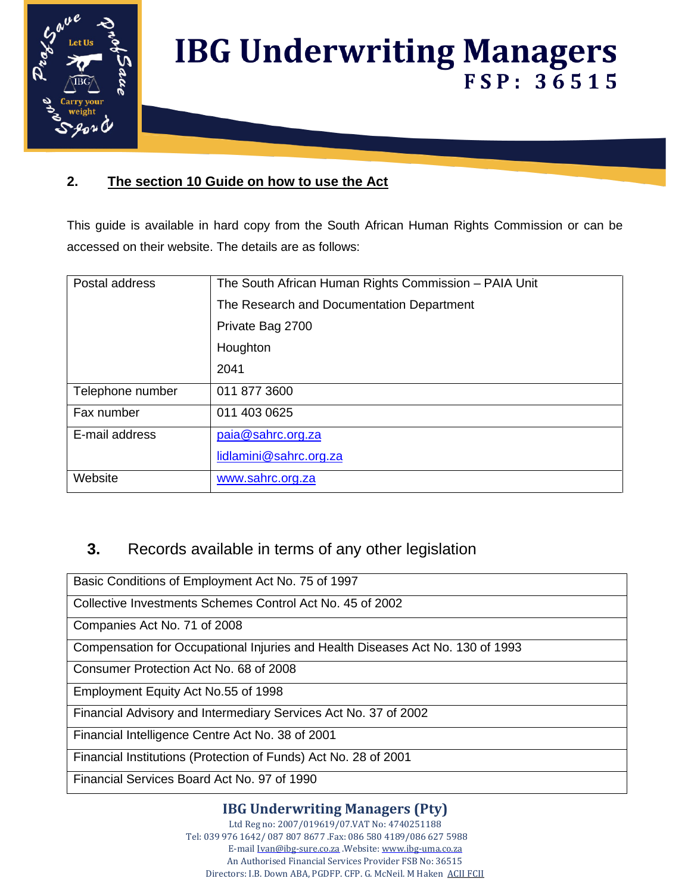

### **2. The section 10 Guide on how to use the Act**

This guide is available in hard copy from the South African Human Rights Commission or can be accessed on their website. The details are as follows:

| Postal address   | The South African Human Rights Commission - PAIA Unit |
|------------------|-------------------------------------------------------|
|                  | The Research and Documentation Department             |
|                  | Private Bag 2700                                      |
|                  | Houghton                                              |
|                  | 2041                                                  |
| Telephone number | 011 877 3600                                          |
| Fax number       | 011 403 0625                                          |
| E-mail address   | paia@sahrc.org.za                                     |
|                  | lidlamini@sahrc.org.za                                |
| Website          | www.sahrc.org.za                                      |

### **3.** Records available in terms of any other legislation

Basic Conditions of Employment Act No. 75 of 1997

Collective Investments Schemes Control Act No. 45 of 2002

Companies Act No. 71 of 2008

Compensation for Occupational Injuries and Health Diseases Act No. 130 of 1993

Consumer Protection Act No. 68 of 2008

Employment Equity Act No.55 of 1998

Financial Advisory and Intermediary Services Act No. 37 of 2002

Financial Intelligence Centre Act No. 38 of 2001

Financial Institutions (Protection of Funds) Act No. 28 of 2001

Financial Services Board Act No. 97 of 1990

### **IBG Underwriting Managers (Pty)**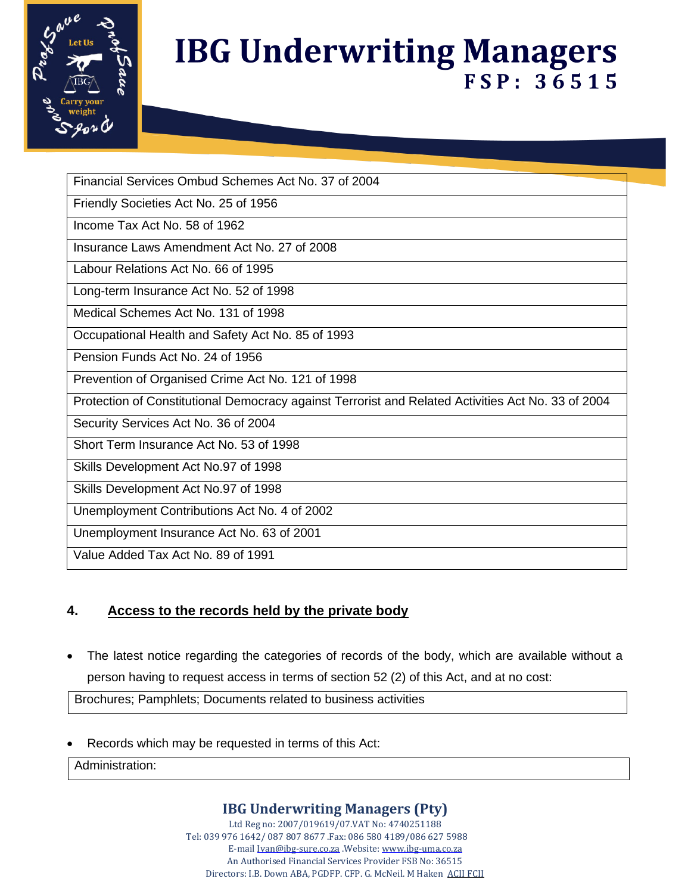

Financial Services Ombud Schemes Act No. 37 of 2004

Friendly Societies Act No. 25 of 1956

Income Tax Act No. 58 of 1962

Insurance Laws Amendment Act No. 27 of 2008

Labour Relations Act No. 66 of 1995

Long-term Insurance Act No. 52 of 1998

Medical Schemes Act No. 131 of 1998

Occupational Health and Safety Act No. 85 of 1993

Pension Funds Act No. 24 of 1956

Prevention of Organised Crime Act No. 121 of 1998

Protection of Constitutional Democracy against Terrorist and Related Activities Act No. 33 of 2004

Security Services Act No. 36 of 2004

Short Term Insurance Act No. 53 of 1998

Skills Development Act No.97 of 1998

Skills Development Act No.97 of 1998

Unemployment Contributions Act No. 4 of 2002

Unemployment Insurance Act No. 63 of 2001

Value Added Tax Act No. 89 of 1991

### **4. Access to the records held by the private body**

• The latest notice regarding the categories of records of the body, which are available without a person having to request access in terms of section 52 (2) of this Act, and at no cost:

Brochures; Pamphlets; Documents related to business activities

Records which may be requested in terms of this Act:

Administration:

### **IBG Underwriting Managers (Pty)**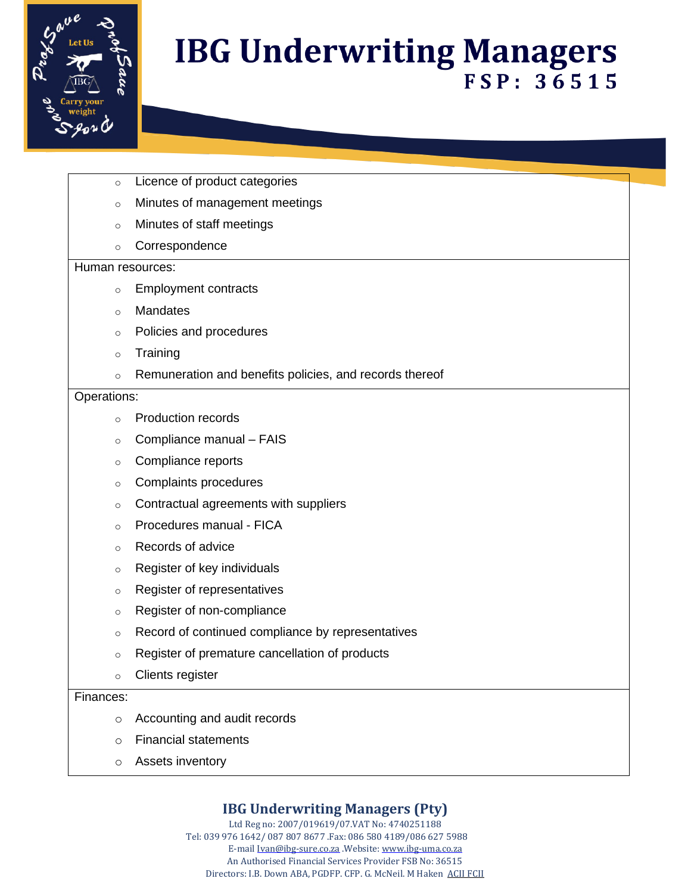

- o Licence of product categories
- o Minutes of management meetings
- o Minutes of staff meetings
- o Correspondence

#### Human resources:

- o Employment contracts
- o Mandates
- o Policies and procedures
- o Training
- o Remuneration and benefits policies, and records thereof

#### Operations:

- o Production records
- Compliance manual FAIS
- o Compliance reports
- o Complaints procedures
- o Contractual agreements with suppliers
- o Procedures manual FICA
- o Records of advice
- o Register of key individuals
- o Register of representatives
- o Register of non-compliance
- o Record of continued compliance by representatives
- o Register of premature cancellation of products
- o Clients register

#### Finances:

- o Accounting and audit records
- o Financial statements
- o Assets inventory

### **IBG Underwriting Managers (Pty)**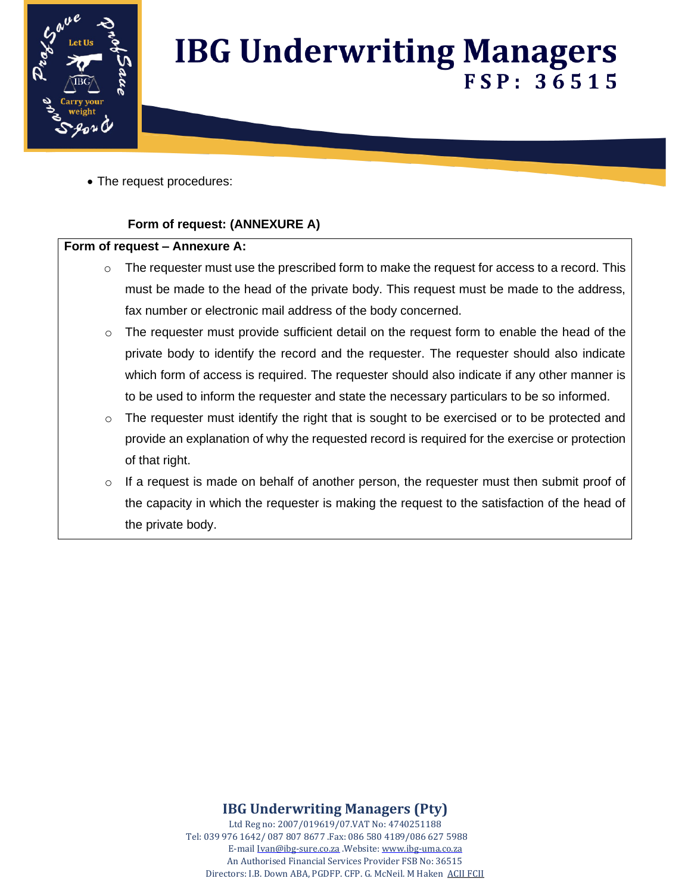

• The request procedures:

#### **Form of request: (ANNEXURE A)**

#### **Form of request – Annexure A:**

- $\circ$  The requester must use the prescribed form to make the request for access to a record. This must be made to the head of the private body. This request must be made to the address, fax number or electronic mail address of the body concerned.
- o The requester must provide sufficient detail on the request form to enable the head of the private body to identify the record and the requester. The requester should also indicate which form of access is required. The requester should also indicate if any other manner is to be used to inform the requester and state the necessary particulars to be so informed.
- $\circ$  The requester must identify the right that is sought to be exercised or to be protected and provide an explanation of why the requested record is required for the exercise or protection of that right.
- $\circ$  If a request is made on behalf of another person, the requester must then submit proof of the capacity in which the requester is making the request to the satisfaction of the head of the private body.

### **IBG Underwriting Managers (Pty)**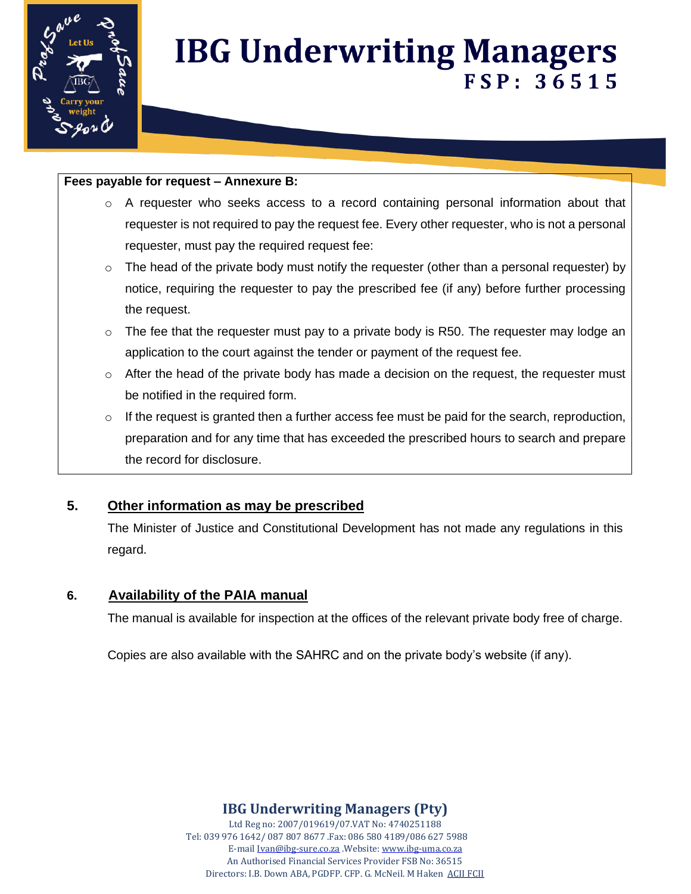

#### **Fees payable for request – Annexure B:**

- $\circ$  A requester who seeks access to a record containing personal information about that requester is not required to pay the request fee. Every other requester, who is not a personal requester, must pay the required request fee:
- $\circ$  The head of the private body must notify the requester (other than a personal requester) by notice, requiring the requester to pay the prescribed fee (if any) before further processing the request.
- $\circ$  The fee that the requester must pay to a private body is R50. The requester may lodge an application to the court against the tender or payment of the request fee.
- $\circ$  After the head of the private body has made a decision on the request, the requester must be notified in the required form.
- $\circ$  If the request is granted then a further access fee must be paid for the search, reproduction, preparation and for any time that has exceeded the prescribed hours to search and prepare the record for disclosure.

### **5. Other information as may be prescribed**

The Minister of Justice and Constitutional Development has not made any regulations in this regard.

#### **6. Availability of the PAIA manual**

The manual is available for inspection at the offices of the relevant private body free of charge.

Copies are also available with the SAHRC and on the private body's website (if any).

**IBG Underwriting Managers (Pty)**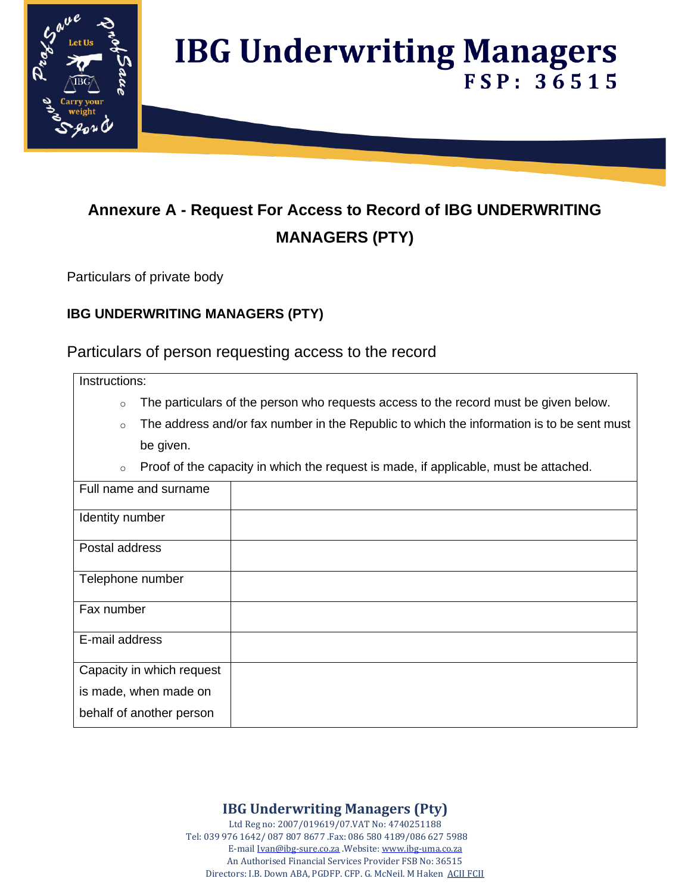

### **Annexure A - Request For Access to Record of IBG UNDERWRITING MANAGERS (PTY)**

Particulars of private body

### **IBG UNDERWRITING MANAGERS (PTY)**

Particulars of person requesting access to the record

Instructions:

- $\circ$  The particulars of the person who requests access to the record must be given below.
- $\circ$  The address and/or fax number in the Republic to which the information is to be sent must be given.
- o Proof of the capacity in which the request is made, if applicable, must be attached.

| Full name and surname     |  |
|---------------------------|--|
| Identity number           |  |
| Postal address            |  |
| Telephone number          |  |
| Fax number                |  |
| E-mail address            |  |
| Capacity in which request |  |
| is made, when made on     |  |
| behalf of another person  |  |

**IBG Underwriting Managers (Pty)**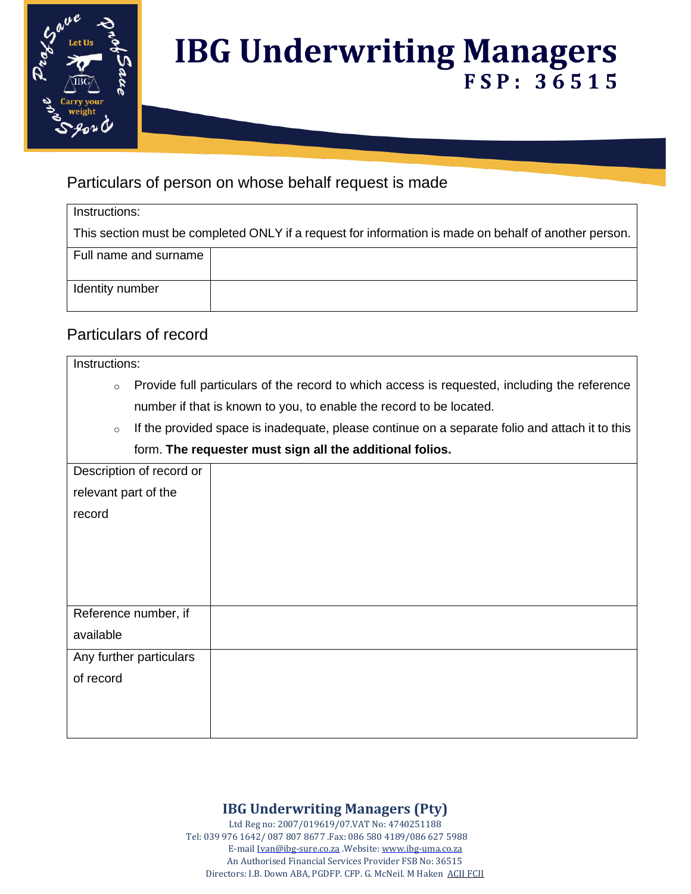

### Particulars of person on whose behalf request is made

This section must be completed ONLY if a request for information is made on behalf of another person.

| Full name and surname |  |
|-----------------------|--|
| Identity number       |  |

### Particulars of record

#### Instructions:

- o Provide full particulars of the record to which access is requested, including the reference number if that is known to you, to enable the record to be located.
- $\circ$  If the provided space is inadequate, please continue on a separate folio and attach it to this form. **The requester must sign all the additional folios.**

| Description of record or |  |
|--------------------------|--|
| relevant part of the     |  |
|                          |  |
| record                   |  |
|                          |  |
|                          |  |
|                          |  |
|                          |  |
|                          |  |
| Reference number, if     |  |
| available                |  |
|                          |  |
| Any further particulars  |  |
| of record                |  |
|                          |  |
|                          |  |
|                          |  |

### **IBG Underwriting Managers (Pty)**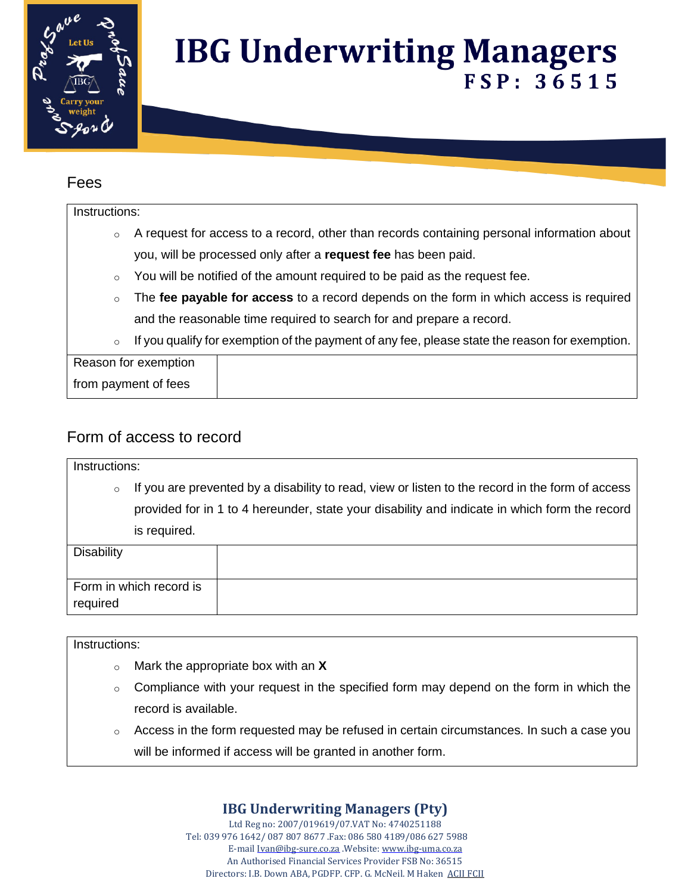

### Fees

#### Instructions:

- o A request for access to a record, other than records containing personal information about you, will be processed only after a **request fee** has been paid.
- You will be notified of the amount required to be paid as the request fee.
- o The **fee payable for access** to a record depends on the form in which access is required and the reasonable time required to search for and prepare a record.
- $\circ$  If you qualify for exemption of the payment of any fee, please state the reason for exemption.

Reason for exemption from payment of fees

### Form of access to record

| Instructions:     |                                                                                                                                                                                                   |  |  |
|-------------------|---------------------------------------------------------------------------------------------------------------------------------------------------------------------------------------------------|--|--|
| $\circ$           | If you are prevented by a disability to read, view or listen to the record in the form of access<br>provided for in 1 to 4 hereunder, state your disability and indicate in which form the record |  |  |
|                   | is required.                                                                                                                                                                                      |  |  |
| <b>Disability</b> |                                                                                                                                                                                                   |  |  |
| required          | Form in which record is                                                                                                                                                                           |  |  |

#### Instructions:

- o Mark the appropriate box with an **X**
- $\circ$  Compliance with your request in the specified form may depend on the form in which the record is available.
- $\circ$  Access in the form requested may be refused in certain circumstances. In such a case you will be informed if access will be granted in another form.

### **IBG Underwriting Managers (Pty)**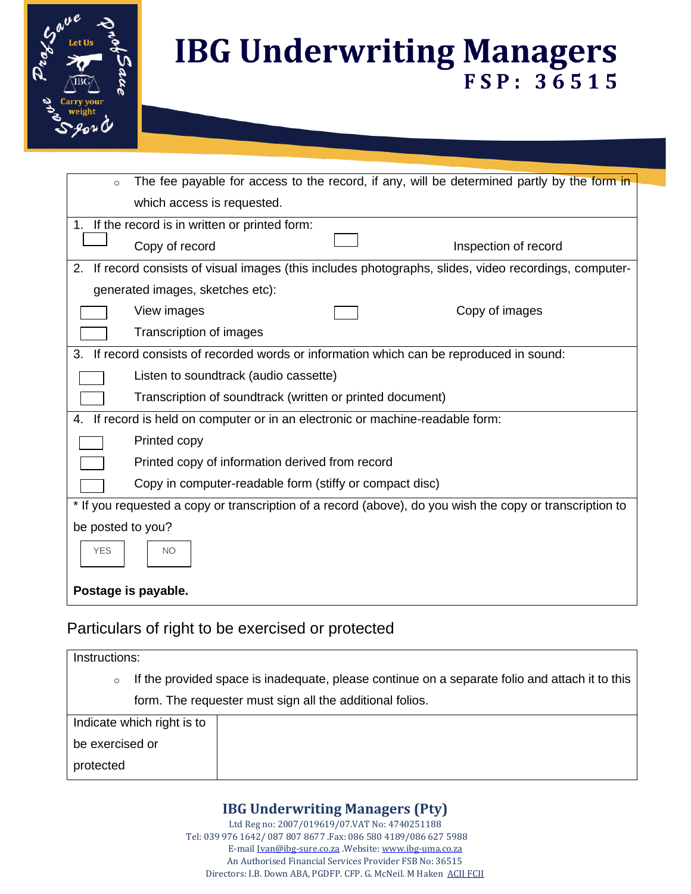

| $\circ$                                                                                                  | The fee payable for access to the record, if any, will be determined partly by the form in             |  |  |  |
|----------------------------------------------------------------------------------------------------------|--------------------------------------------------------------------------------------------------------|--|--|--|
|                                                                                                          | which access is requested.                                                                             |  |  |  |
|                                                                                                          | 1. If the record is in written or printed form:                                                        |  |  |  |
|                                                                                                          | Copy of record<br>Inspection of record                                                                 |  |  |  |
|                                                                                                          | 2. If record consists of visual images (this includes photographs, slides, video recordings, computer- |  |  |  |
|                                                                                                          | generated images, sketches etc):                                                                       |  |  |  |
|                                                                                                          | View images<br>Copy of images                                                                          |  |  |  |
|                                                                                                          | Transcription of images                                                                                |  |  |  |
| 3.                                                                                                       | If record consists of recorded words or information which can be reproduced in sound:                  |  |  |  |
|                                                                                                          | Listen to soundtrack (audio cassette)                                                                  |  |  |  |
|                                                                                                          | Transcription of soundtrack (written or printed document)                                              |  |  |  |
| 4.                                                                                                       | If record is held on computer or in an electronic or machine-readable form:                            |  |  |  |
|                                                                                                          | Printed copy                                                                                           |  |  |  |
|                                                                                                          | Printed copy of information derived from record                                                        |  |  |  |
|                                                                                                          | Copy in computer-readable form (stiffy or compact disc)                                                |  |  |  |
| * If you requested a copy or transcription of a record (above), do you wish the copy or transcription to |                                                                                                        |  |  |  |
| be posted to you?                                                                                        |                                                                                                        |  |  |  |
| <b>YES</b><br><b>NO</b>                                                                                  |                                                                                                        |  |  |  |
| Postage is payable.                                                                                      |                                                                                                        |  |  |  |

### Particulars of right to be exercised or protected

| Instructions:                                                                                             |  |  |
|-----------------------------------------------------------------------------------------------------------|--|--|
| If the provided space is inadequate, please continue on a separate folio and attach it to this<br>$\circ$ |  |  |
| form. The requester must sign all the additional folios.                                                  |  |  |
| Indicate which right is to                                                                                |  |  |
| be exercised or                                                                                           |  |  |
| protected                                                                                                 |  |  |

### **IBG Underwriting Managers (Pty)**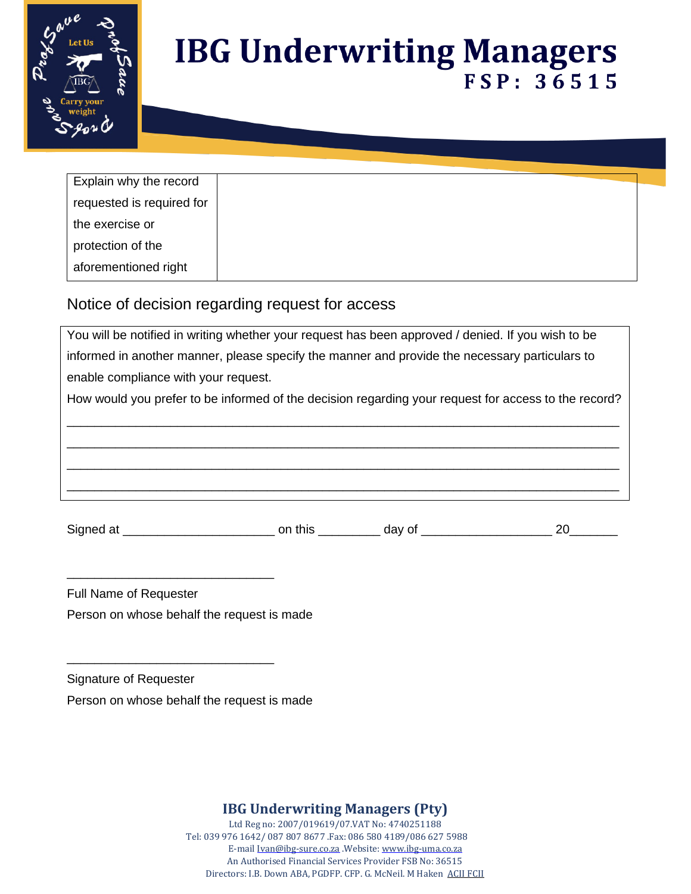

| Explain why the record    |
|---------------------------|
| requested is required for |
| the exercise or           |
| protection of the         |
| aforementioned right      |

### Notice of decision regarding request for access

| You will be notified in writing whether your request has been approved / denied. If you wish to be   |                |        |    |
|------------------------------------------------------------------------------------------------------|----------------|--------|----|
| informed in another manner, please specify the manner and provide the necessary particulars to       |                |        |    |
| enable compliance with your request.                                                                 |                |        |    |
| How would you prefer to be informed of the decision regarding your request for access to the record? |                |        |    |
|                                                                                                      |                |        |    |
|                                                                                                      |                |        |    |
|                                                                                                      |                |        |    |
|                                                                                                      |                |        |    |
|                                                                                                      |                |        |    |
| Signed at ________________________                                                                   | on this $\_\_$ | day of | 20 |

Full Name of Requester

Person on whose behalf the request is made

\_\_\_\_\_\_\_\_\_\_\_\_\_\_\_\_\_\_\_\_\_\_\_\_\_\_\_\_\_\_

\_\_\_\_\_\_\_\_\_\_\_\_\_\_\_\_\_\_\_\_\_\_\_\_\_\_\_\_\_\_

Signature of Requester

Person on whose behalf the request is made

**IBG Underwriting Managers (Pty)**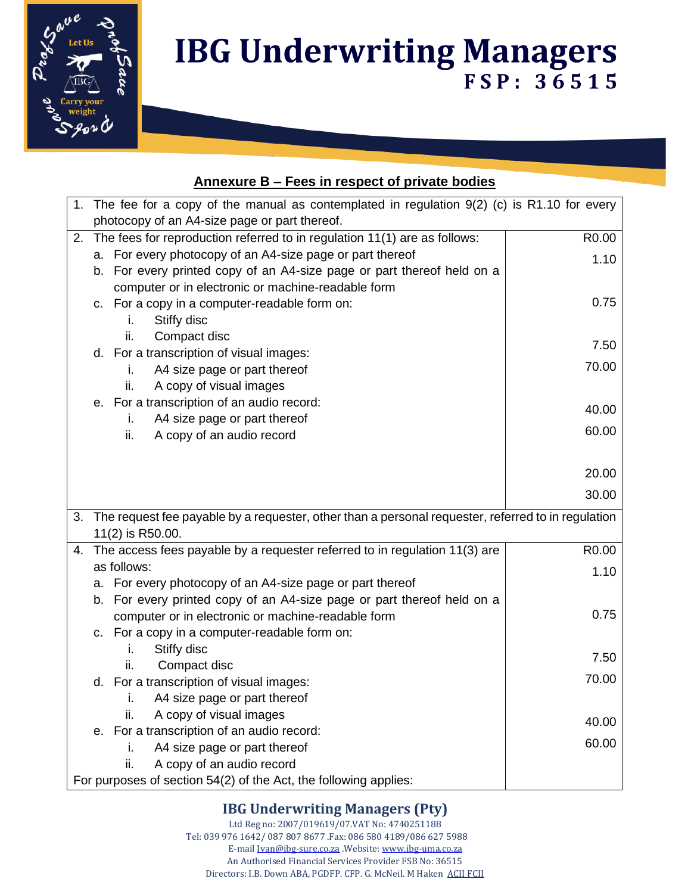

### **Annexure B – Fees in respect of private bodies**

|    | 1. The fee for a copy of the manual as contemplated in regulation 9(2) (c) is R1.10 for every                                |                   |  |
|----|------------------------------------------------------------------------------------------------------------------------------|-------------------|--|
|    | photocopy of an A4-size page or part thereof.                                                                                |                   |  |
| 2. | The fees for reproduction referred to in regulation 11(1) are as follows:                                                    | R0.00             |  |
|    | a. For every photocopy of an A4-size page or part thereof                                                                    | 1.10              |  |
|    | b. For every printed copy of an A4-size page or part thereof held on a                                                       |                   |  |
|    | computer or in electronic or machine-readable form                                                                           |                   |  |
|    | c. For a copy in a computer-readable form on:                                                                                | 0.75              |  |
|    | Stiffy disc<br>i.                                                                                                            |                   |  |
|    | Compact disc<br>ii.                                                                                                          | 7.50              |  |
|    | d. For a transcription of visual images:                                                                                     |                   |  |
|    | A4 size page or part thereof<br>i.                                                                                           | 70.00             |  |
|    | A copy of visual images<br>ii.                                                                                               |                   |  |
|    | e. For a transcription of an audio record:                                                                                   | 40.00             |  |
|    | A4 size page or part thereof<br>İ.                                                                                           | 60.00             |  |
|    | A copy of an audio record<br>ii.                                                                                             |                   |  |
|    |                                                                                                                              |                   |  |
|    |                                                                                                                              | 20.00             |  |
|    |                                                                                                                              | 30.00             |  |
|    |                                                                                                                              |                   |  |
| 3. | The request fee payable by a requester, other than a personal requester, referred to in regulation                           |                   |  |
|    | 11(2) is R50.00.                                                                                                             |                   |  |
| 4. | The access fees payable by a requester referred to in regulation 11(3) are<br>as follows:                                    | R <sub>0.00</sub> |  |
|    |                                                                                                                              | 1.10              |  |
|    | a. For every photocopy of an A4-size page or part thereof                                                                    |                   |  |
|    | b. For every printed copy of an A4-size page or part thereof held on a<br>computer or in electronic or machine-readable form | 0.75              |  |
|    | c. For a copy in a computer-readable form on:                                                                                |                   |  |
|    | Stiffy disc<br>i.                                                                                                            |                   |  |
|    | Compact disc<br>ii.                                                                                                          | 7.50              |  |
|    | d. For a transcription of visual images:                                                                                     | 70.00             |  |
|    | A4 size page or part thereof<br>i.                                                                                           |                   |  |
|    | A copy of visual images<br>ii.                                                                                               |                   |  |
|    | e. For a transcription of an audio record:                                                                                   | 40.00             |  |
|    | A4 size page or part thereof<br>İ.                                                                                           | 60.00             |  |
|    | ii.<br>A copy of an audio record                                                                                             |                   |  |
|    | For purposes of section 54(2) of the Act, the following applies:                                                             |                   |  |

### **IBG Underwriting Managers (Pty)**